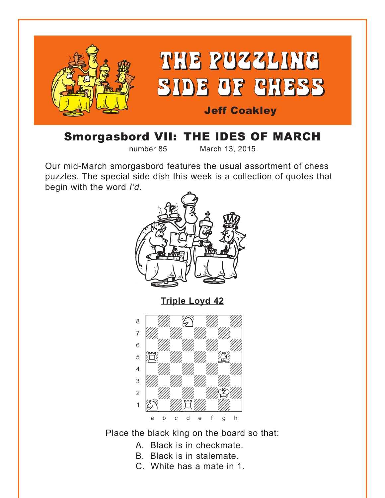<span id="page-0-0"></span>

# Smorgasbord VII: THE IDES OF MARCH

number 85 March 13, 2015

Our mid-March smorgasbord features the usual assortment of chess puzzles. The special side dish this week is a collection of quotes that begin with the word *I'd*.





Place the black king on the board so that:

- A. Black is in checkmate.
- B. Black is in stalemate.
- C. White has a mate in 1.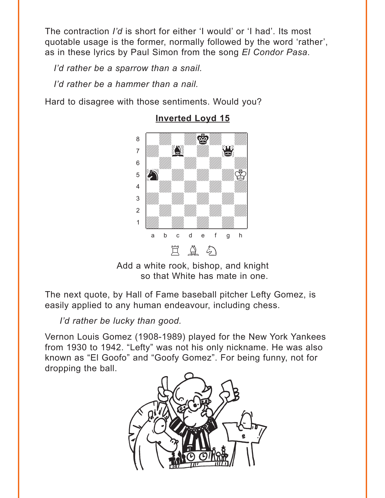<span id="page-1-0"></span>The contraction *I'd* is short for either 'I would' or 'I had'. Its most quotable usage is the former, normally followed by the word 'rather', as in these lyrics by Paul Simon from the song *El Condor Pasa*.

*I'd rather be a sparrow than a snail.*

*I'd rather be a hammer than a nail.*

Hard to disagree with those sentiments. Would you?



## **[Inverted Loyd 15](#page-7-0)**

Add a white rook, bishop, and knight so that White has mate in one.

The next quote, by Hall of Fame baseball pitcher Lefty Gomez, is easily applied to any human endeavour, including chess.

*I'd rather be lucky than good.* 

Vernon Louis Gomez (1908-1989) played for the New York Yankees from 1930 to 1942. "Lefty" was not his only nickname. He was also known as "El Goofo" and "Goofy Gomez". For being funny, not for dropping the ball.

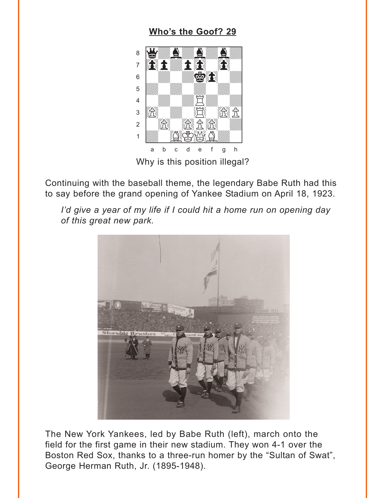#### Who's the Goof? 29

<span id="page-2-0"></span>

Continuing with the baseball theme, the legendary Babe Ruth had this to say before the grand opening of Yankee Stadium on April 18, 1923.



I'd give a year of my life if I could hit a home run on opening day of this great new park.

The New York Yankees, led by Babe Ruth (left), march onto the field for the first game in their new stadium. They won 4-1 over the Boston Red Sox, thanks to a three-run homer by the "Sultan of Swat", George Herman Ruth, Jr. (1895-1948).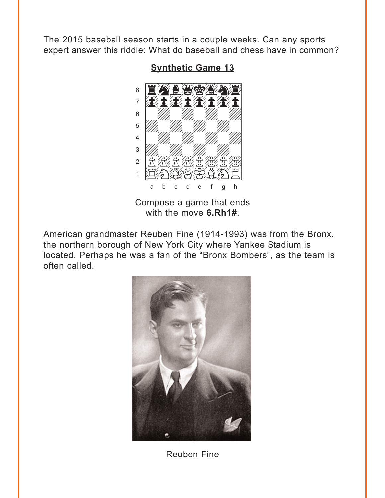<span id="page-3-0"></span>The 2015 baseball season starts in a couple weeks. Can any sports expert answer this riddle: What do baseball and chess have in common?



**Synthetic Game 13** 

Compose a game that ends with the move 6.Rh1#.

American grandmaster Reuben Fine (1914-1993) was from the Bronx, the northern borough of New York City where Yankee Stadium is located. Perhaps he was a fan of the "Bronx Bombers", as the team is often called.



**Reuben Fine**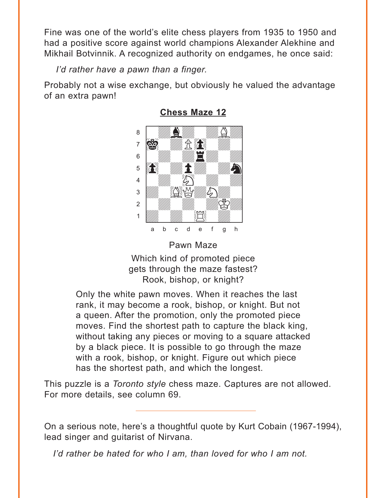<span id="page-4-0"></span>Fine was one of the world's elite chess players from 1935 to 1950 and had a positive score against world champions Alexander Alekhine and Mikhail Botvinnik. A recognized authority on endgames, he once said:

*I'd rather have a pawn than a finger.* 

Probably not a wise exchange, but obviously he valued the advantage of an extra pawn!



**[Chess Maze 12](#page-10-0)** where  $\frac{1}{\sqrt{2}}$  we have the set of  $\frac{1}{\sqrt{2}}$ 

Pawn Maze

Which kind of promoted piece gets through the maze fastest? Rook, bishop, or knight?

Only the white pawn moves. When it reaches the last rank, it may become a rook, bishop, or knight. But not a queen. After the promotion, only the promoted piece moves. Find the shortest path to capture the black king, without taking any pieces or moving to a square attacked by a black piece. It is possible to go through the maze with a rook, bishop, or knight. Figure out which piece has the shortest path, and which the longest.

This puzzle is a *Toronto style* chess maze. Captures are not allowed. For more details, see column 69.

On a serious note, here's a thoughtful quote by Kurt Cobain (1967-1994), lead singer and guitarist of Nirvana.

*I'd rather be hated for who I am, than loved for who I am not.*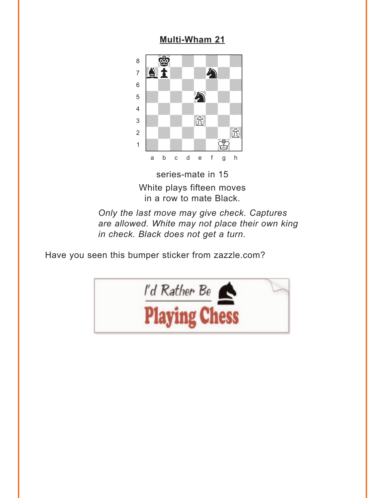#### **Multi-Wham 21**

<span id="page-5-0"></span>

series-mate in 15 White plays fifteen moves in a row to mate Black.

Only the last move may give check. Captures are allowed. White may not place their own king in check. Black does not get a turn.

Have you seen this bumper sticker from zazzle.com?

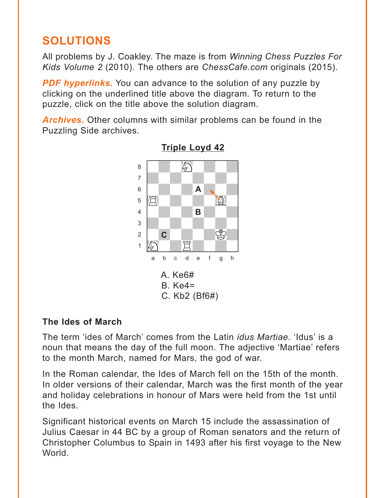## <span id="page-6-0"></span>**SOLUTIONS**

All problems by J. Coakley. The maze is from *Winning Chess Puzzles For Kids Volume 2* (2010). The others are *ChessCafe.com* originals (2015).

*PDF hyperlinks***.** You can advance to the solution of any puzzle by clicking on the underlined title above the diagram. To return to the puzzle, click on the title above the solution diagram.

*Archives***.** Other columns with similar problems can be found in the Puzzling Side archives.



### **[Triple Loyd 42](#page-0-0)**

## **The Ides of March**

The term 'ides of March' comes from the Latin *idus Martiae*. 'Idus' is a noun that means the day of the full moon. The adjective 'Martiae' refers to the month March, named for Mars, the god of war.

In the Roman calendar, the Ides of March fell on the 15th of the month. In older versions of their calendar, March was the first month of the year and holiday celebrations in honour of Mars were held from the 1st until the Ides.

Significant historical events on March 15 include the assassination of Julius Caesar in 44 BC by a group of Roman senators and the return of Christopher Columbus to Spain in 1493 after his first voyage to the New World.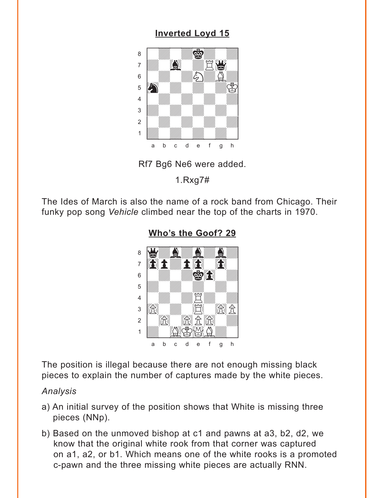## **Inverted Loyd 15**

<span id="page-7-0"></span>



 $1.Rxq7#$ 

The Ides of March is also the name of a rock band from Chicago. Their funky pop song Vehicle climbed near the top of the charts in 1970.



Who's the Goof? 29

The position is illegal because there are not enough missing black pieces to explain the number of captures made by the white pieces.

#### Analysis

- a) An initial survey of the position shows that White is missing three pieces (NNp).
- b) Based on the unmoved bishop at c1 and pawns at a3, b2, d2, we know that the original white rook from that corner was captured on a1, a2, or b1. Which means one of the white rooks is a promoted c-pawn and the three missing white pieces are actually RNN.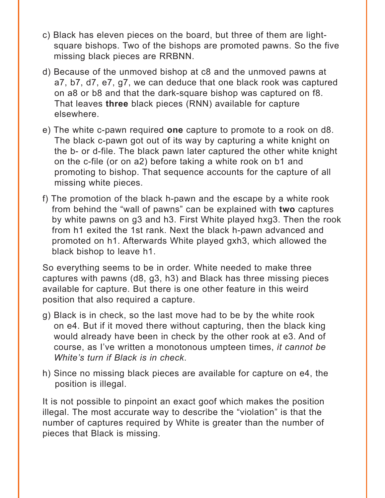- c) Black has eleven pieces on the board, but three of them are lightsquare bishops. Two of the bishops are promoted pawns. So the five missing black pieces are RRBNN.
- d) Because of the unmoved bishop at c8 and the unmoved pawns at a7, b7, d7, e7, g7, we can deduce that one black rook was captured on a8 or b8 and that the dark-square bishop was captured on f8. That leaves **three** black pieces (RNN) available for capture elsewhere.
- e) The white c-pawn required **one** capture to promote to a rook on d8. The black c-pawn got out of its way by capturing a white knight on the b- or d-file. The black pawn later captured the other white knight on the c-file (or on a2) before taking a white rook on b1 and promoting to bishop. That sequence accounts for the capture of all missing white pieces.
- f) The promotion of the black h-pawn and the escape by a white rook from behind the "wall of pawns" can be explained with **two** captures by white pawns on g3 and h3. First White played hxg3. Then the rook from h1 exited the 1st rank. Next the black h-pawn advanced and promoted on h1. Afterwards White played gxh3, which allowed the black bishop to leave h1.

So everything seems to be in order. White needed to make three captures with pawns (d8, g3, h3) and Black has three missing pieces available for capture. But there is one other feature in this weird position that also required a capture.

- g) Black is in check, so the last move had to be by the white rook on e4. But if it moved there without capturing, then the black king would already have been in check by the other rook at e3. And of course, as I've written a monotonous umpteen times, *it cannot be White's turn if Black is in check*.
- h) Since no missing black pieces are available for capture on e4, the position is illegal.

It is not possible to pinpoint an exact goof which makes the position illegal. The most accurate way to describe the "violation" is that the number of captures required by White is greater than the number of pieces that Black is missing.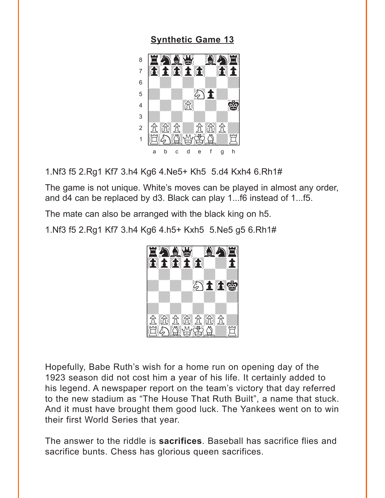#### **[Synthetic Game 13](#page-3-0)**

<span id="page-9-0"></span>

1.Nf3 f5 2.Rg1 Kf7 3.h4 Kg6 4.Ne5+ Kh5 5.d4 Kxh4 6.Rh1#

The game is not unique. White's moves can be played in almost any order, and d4 can be replaced by d3. Black can play 1...f6 instead of 1...f5.

The mate can also be arranged with the black king on h5.

1.Nf3 f5 2.Rg1 Kf7 3.h4 Kg6 4.h5+ Kxh5 5.Ne5 g5 6.Rh1#



Hopefully, Babe Ruth's wish for a home run on opening day of the 1923 season did not cost him a year of his life. It certainly added to his legend. A newspaper report on the team's victory that day referred to the new stadium as "The House That Ruth Built", a name that stuck. And it must have brought them good luck. The Yankees went on to win their first World Series that year.

The answer to the riddle is **sacrifices**. Baseball has sacrifice flies and sacrifice bunts. Chess has glorious queen sacrifices.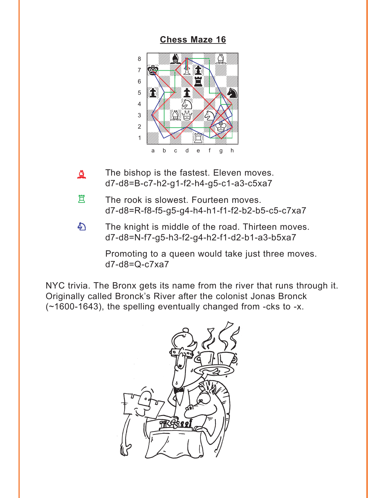#### **[Chess Maze 16](#page-4-0)**

<span id="page-10-0"></span>

- The bishop is the fastest. Eleven moves. d7-d8=B-c7-h2-g1-f2-h4-g5-c1-a3-c5xa7  $\Delta$
- The rook is slowest. Fourteen moves. d7-d8=R-f8-f5-g5-g4-h4-h1-f1-f2-b2-b5-c5-c7xa7 R
- The knight is middle of the road. Thirteen moves. d7-d8=N-f7-g5-h3-f2-g4-h2-f1-d2-b1-a3-b5xa7  $\mathcal{L}$

Promoting to a queen would take just three moves. d7-d8=Q-c7xa7

NYC trivia. The Bronx gets its name from the river that runs through it. Originally called Bronck's River after the colonist Jonas Bronck (~1600-1643), the spelling eventually changed from -cks to -x.

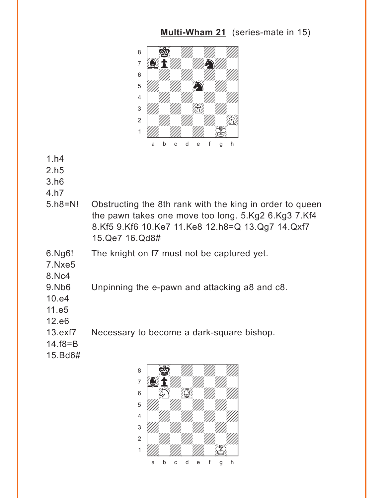### **[Multi-Wham 21](#page-5-0)** (series-mate in 15)

<span id="page-11-0"></span>

- 1.h4
- 2.h5
- 3.h6
- 4.h7
- 5.h8=N! Obstructing the 8th rank with the king in order to queen the pawn takes one move too long. 5.Kg2 6.Kg3 7.Kf4 8.Kf5 9.Kf6 10.Ke7 11.Ke8 12.h8=Q 13.Qg7 14.Qxf7 15.Qe7 16.Qd8#
- 6.Ng6! The knight on f7 must not be captured yet.
- 7.Nxe5
- 8.Nc4
- 9.Nb6 Unpinning the e-pawn and attacking a8 and c8.
- 10.e4
- 11.e5
- 12.e6
- 13.exf7 Necessary to become a dark-square bishop.
- 14.f8=B
- 15.Bd6#

with the set of the set of the set of the set of the set of the set of the set of the set of the set of the set of the set of the set of the set of the set of the set of the set of the set of the set of the set of the set  $\sim$   $\frac{1}{2}$   $\sim$   $\frac{1}{2}$  $\overline{a}$  and  $\overline{a}$  and  $\overline{a}$  and  $\overline{a}$  and  $\overline{a}$  $\begin{array}{|c|c|c|c|c|}\hline \circ & \circ & \circ & \circ & \circ & \circ\ \hline \end{array}$ 5 *VIII. VIII. VIII.* 4 | *William William William William William William William William William William William William William William William William William William William William William William William William William William William W* 3 *William William William William William William William William William William William William William William W* 2 | *William William William William William William William William William William William*  $\frac{1}{\sqrt{2}}$ a b c d e f g h